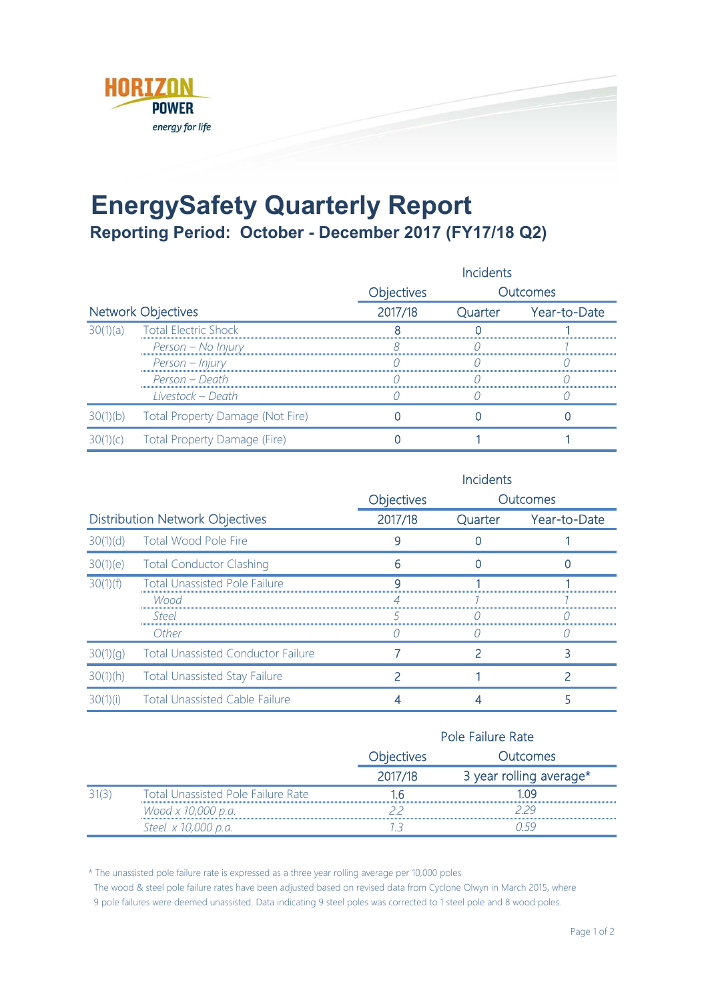

## **EnergySafety Quarterly Report Reporting Period: October - December 2017 (FY17/18 Q2)**

|                           |                                  | <b>Incidents</b> |         |              |
|---------------------------|----------------------------------|------------------|---------|--------------|
|                           | Objectives<br>Outcomes           |                  |         |              |
| <b>Network Objectives</b> |                                  | 2017/18          | Quarter | Year-to-Date |
| 30(1)(a)                  | <b>Total Electric Shock</b>      |                  |         |              |
|                           | Person – No Injury               |                  |         |              |
|                           | Person - Injury                  |                  |         |              |
|                           | Person – Death                   |                  |         |              |
|                           | Livestock - Death                |                  |         |              |
|                           | Total Property Damage (Not Fire) |                  |         |              |
| $\Gamma$                  | Total Property Damage (Fire)     |                  |         |              |

|                                        |                                           | <b>Incidents</b> |         |              |
|----------------------------------------|-------------------------------------------|------------------|---------|--------------|
|                                        |                                           | Objectives       |         | Outcomes     |
| <b>Distribution Network Objectives</b> |                                           | 2017/18          | Quarter | Year-to-Date |
| 30(1)(d)                               | Total Wood Pole Fire                      |                  |         |              |
|                                        | 30(1)(e) Total Conductor Clashing         |                  |         |              |
| 30(1)(f)                               | <b>Total Unassisted Pole Failure</b>      |                  |         |              |
|                                        | Wood                                      |                  |         |              |
|                                        | Steel                                     |                  |         |              |
|                                        | Other                                     |                  |         |              |
| 30(1)(q)                               | <b>Total Unassisted Conductor Failure</b> |                  |         |              |
| 30(1)(h)                               | <b>Total Unassisted Stay Failure</b>      |                  |         |              |
| 30(1)(i)                               | <b>Total Unassisted Cable Failure</b>     |                  |         |              |

|  |                                           |                   | Pole Failure Rate       |  |  |
|--|-------------------------------------------|-------------------|-------------------------|--|--|
|  |                                           | <b>Objectives</b> | <b>Dutcomes</b>         |  |  |
|  |                                           | 2017/18           | 3 year rolling average* |  |  |
|  | <b>Total Unassisted Pole Failure Rate</b> |                   | -n9                     |  |  |
|  | Wood x 10,000 p.a.                        |                   |                         |  |  |
|  | Steel x 10,000 p.a.                       |                   |                         |  |  |

\* The unassisted pole failure rate is expressed as a three year rolling average per 10,000 poles

The wood & steel pole failure rates have been adjusted based on revised data from Cyclone Olwyn in March 2015, where

9 pole failures were deemed unassisted. Data indicating 9 steel poles was corrected to 1 steel pole and 8 wood poles.